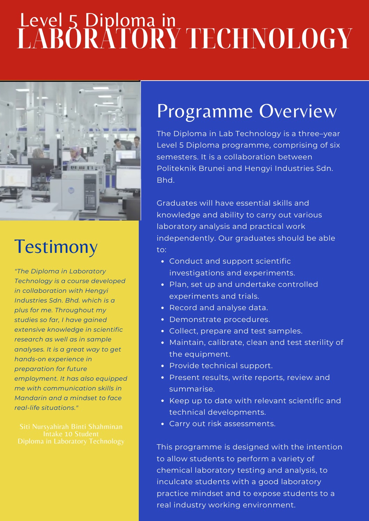# **LABORATORY TECHNOLOGY** Level 5 Diploma in



### **Testimony**

*"The Diploma in Laboratory Technology is a course developed in collaboration with Hengyi Industries Sdn. Bhd. which is a plus for me. Throughout my studies so far, I have gained extensive knowledge in scientific research as well as in sample analyses. It is a great way to get hands-on experience in preparation for future employment. It has also equipped me with communication skills in Mandarin and a mindset to face real-life situations."*

## Programme Overview

The Diploma in Lab Technology is a three–year Level 5 Diploma programme, comprising of six semesters. It is a collaboration between Politeknik Brunei and Hengyi Industries Sdn. Bhd.

Graduates will have essential skills and knowledge and ability to carry out various laboratory analysis and practical work independently. Our graduates should be able to:

- Conduct and support scientific investigations and experiments.
- Plan, set up and undertake controlled experiments and trials.
- Record and analyse data.
- Demonstrate procedures.
- Collect, prepare and test samples.
- Maintain, calibrate, clean and test sterility of the equipment.
- Provide technical support.
- Present results, write reports, review and summarise.
- Keep up to date with relevant scientific and technical developments.
- Carry out risk assessments.

This programme is designed with the intention to allow students to perform a variety of chemical laboratory testing and analysis, to inculcate students with a good laboratory practice mindset and to expose students to a real industry working environment.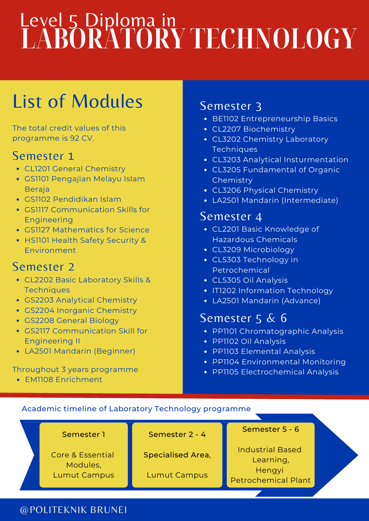# **LABORATORY TECHNOLOGY** Level 5 Diploma in

## List of Modules

The total credit values of this programme is 92 CV.

#### Semester 1

- CL1201 General Chemistry
- GS1101 Pengajian Melayu Islam **Beraja**
- GS1102 Pendidikan Islam
- GS1117 Communication Skills for Engineering
- GS1127 Mathematics for Science
- HS1101 Health Safety Security & Environment

### Semester 2

- CL2202 Basic Laboratory Skills & **Techniques**
- GS2203 Analytical Chemistry
- GS2204 Inorganic Chemistry
- GS2208 General Biology
- GS2117 Communication Skill for Engineering II
- LA2501 Mandarin (Beginner)

#### Throughout 3 years programme

EM1108 Enrichment

### Semester 3

- BE1102 Entrepreneurship Basics
- CL2207 Biochemistry
- CL3202 Chemistry Laboratory **Techniques**
- CL3203 Analytical Insturmentation
- CL3205 Fundamental of Organic Chemistry
- CL3206 Physical Chemistry
- LA2501 Mandarin (Intermediate)

#### Semester 4

- CL2201 Basic Knowledge of Hazardous Chemicals
- CL3209 Microbiology
- CL5303 Technology in Petrochemical
- CL5305 Oil Analysis
- IT1202 Information Technology
- LA2501 Mandarin (Advance)

### Semester 5 & 6

- PP1101 Chromatographic Analysis
- PP1102 Oil Analysis
- PP1103 Elemental Analysis
- PP1104 Environmental Monitoring
- PP1105 Electrochemical Analysis

#### Academic timeline of Laboratory Technology programme



@POLITEKNIK BRUNEI